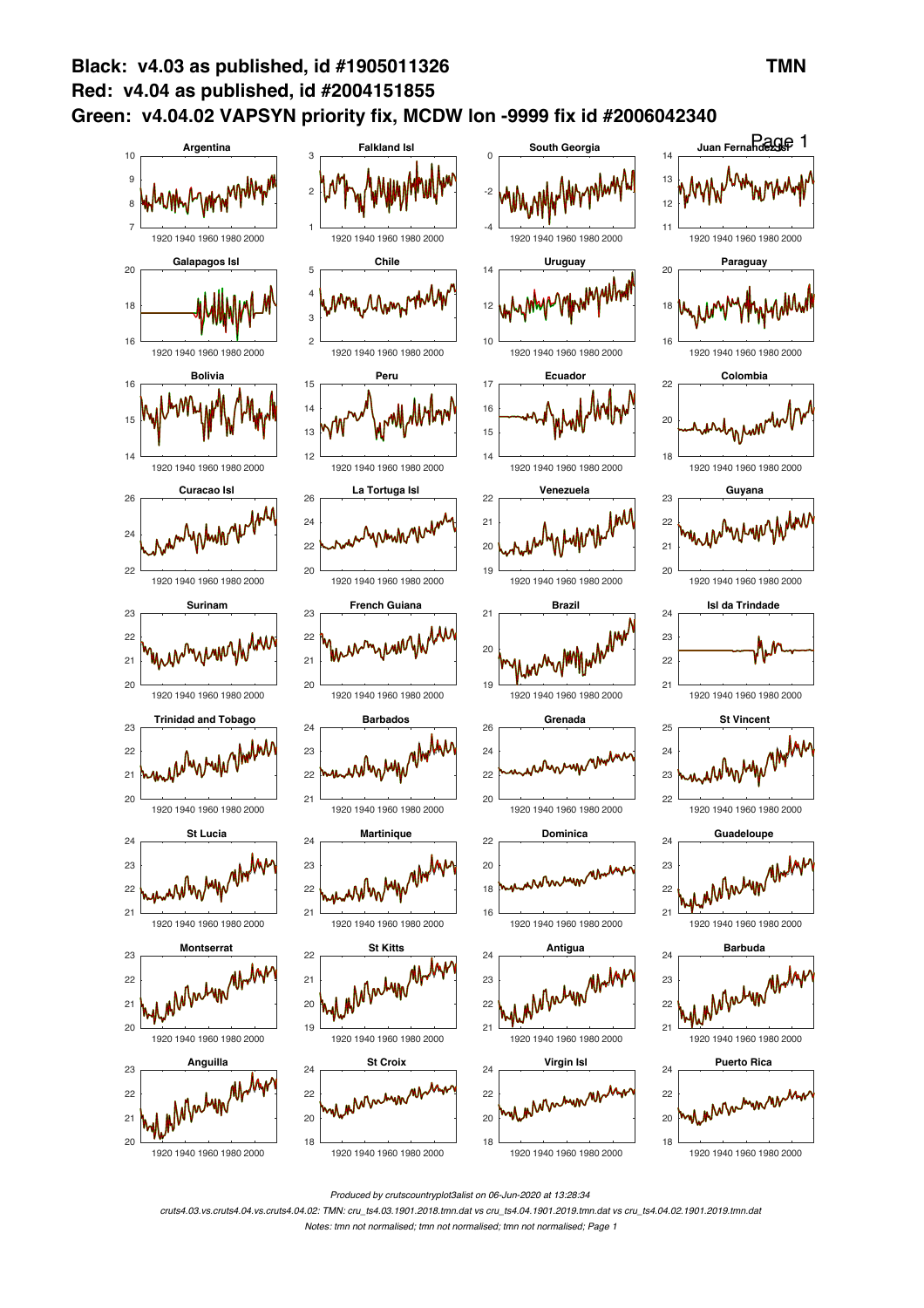

*Produced by crutscountryplot3alist on 06-Jun-2020 at 13:28:34*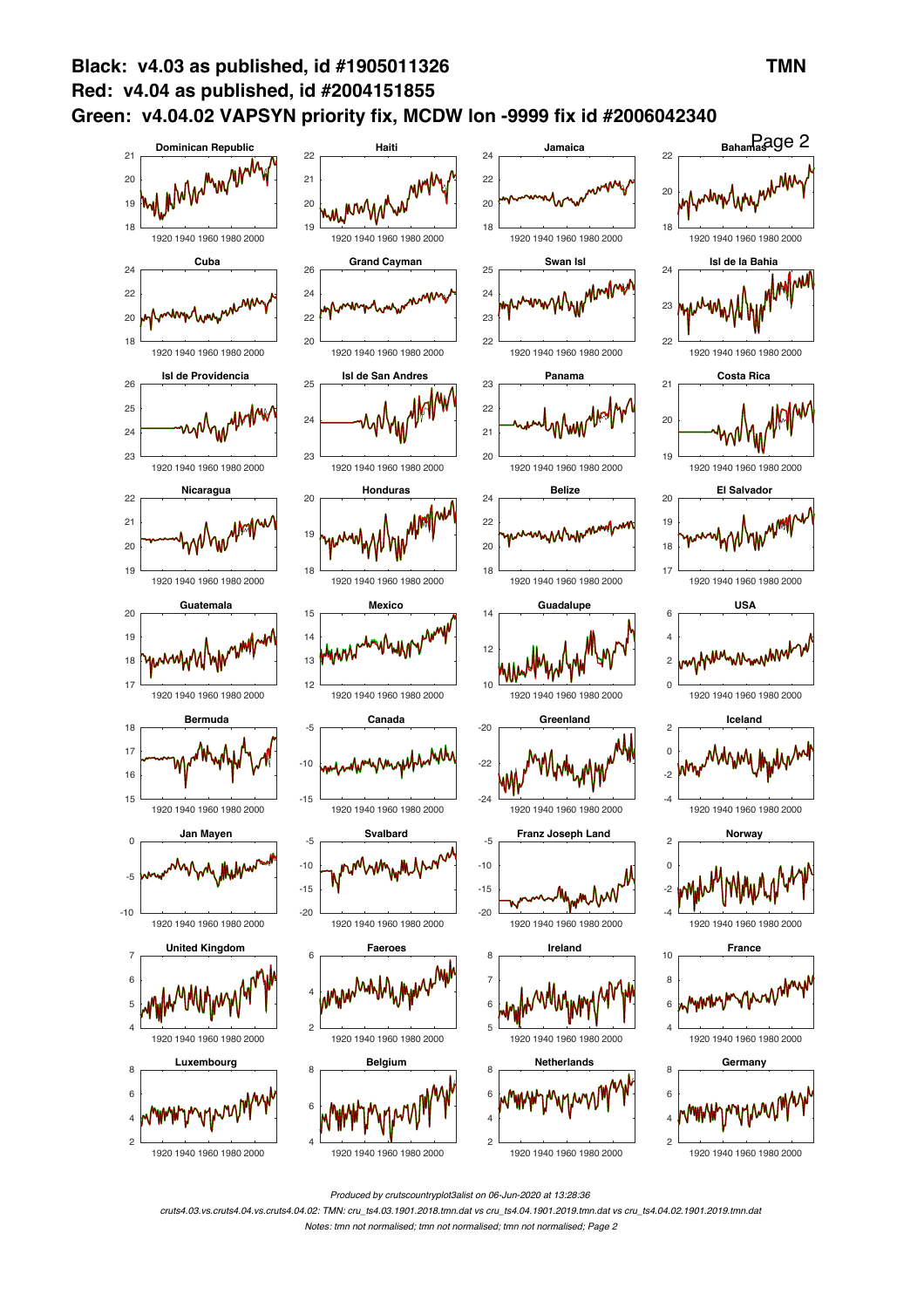

*Produced by crutscountryplot3alist on 06-Jun-2020 at 13:28:36*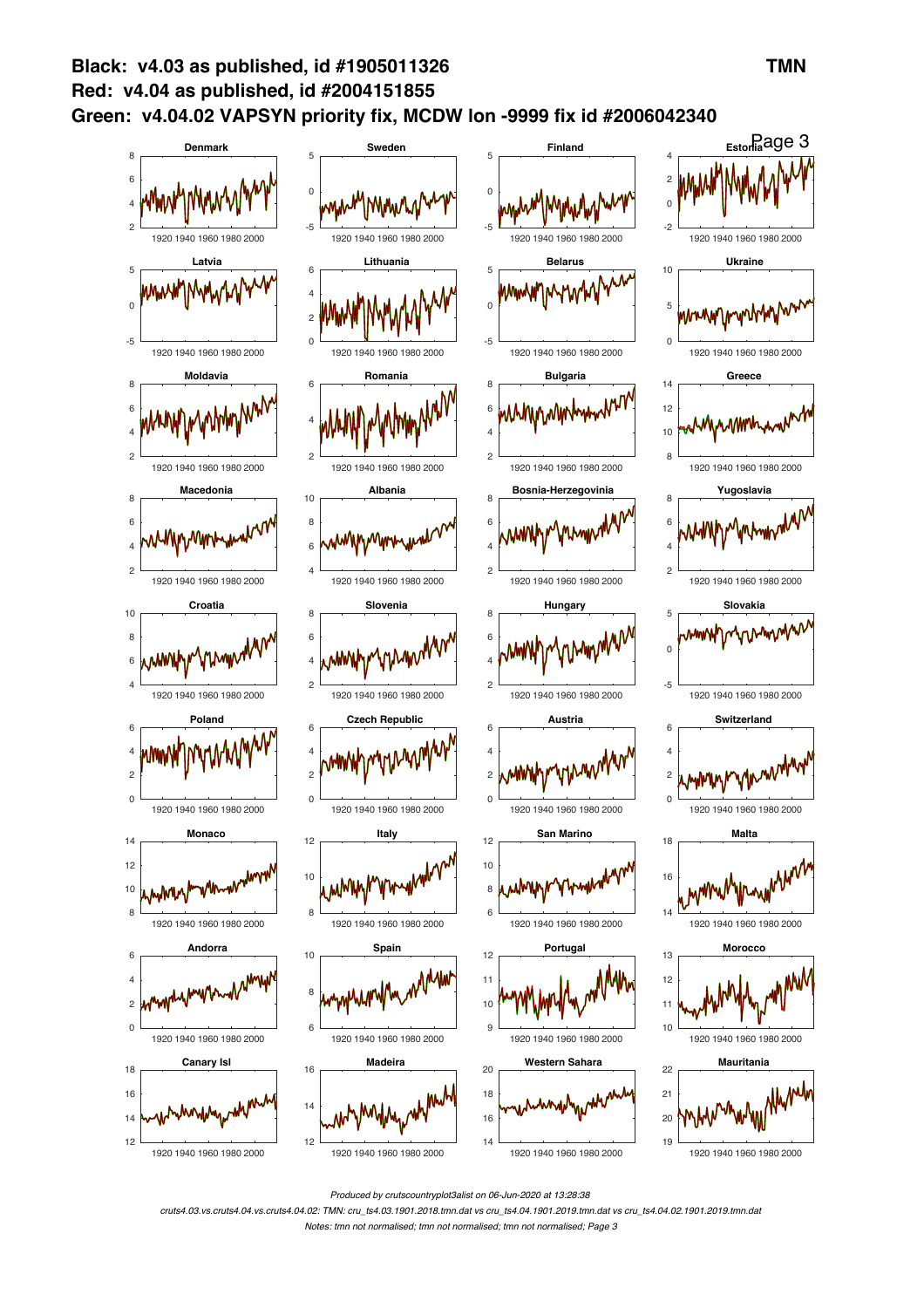

*Produced by crutscountryplot3alist on 06-Jun-2020 at 13:28:38*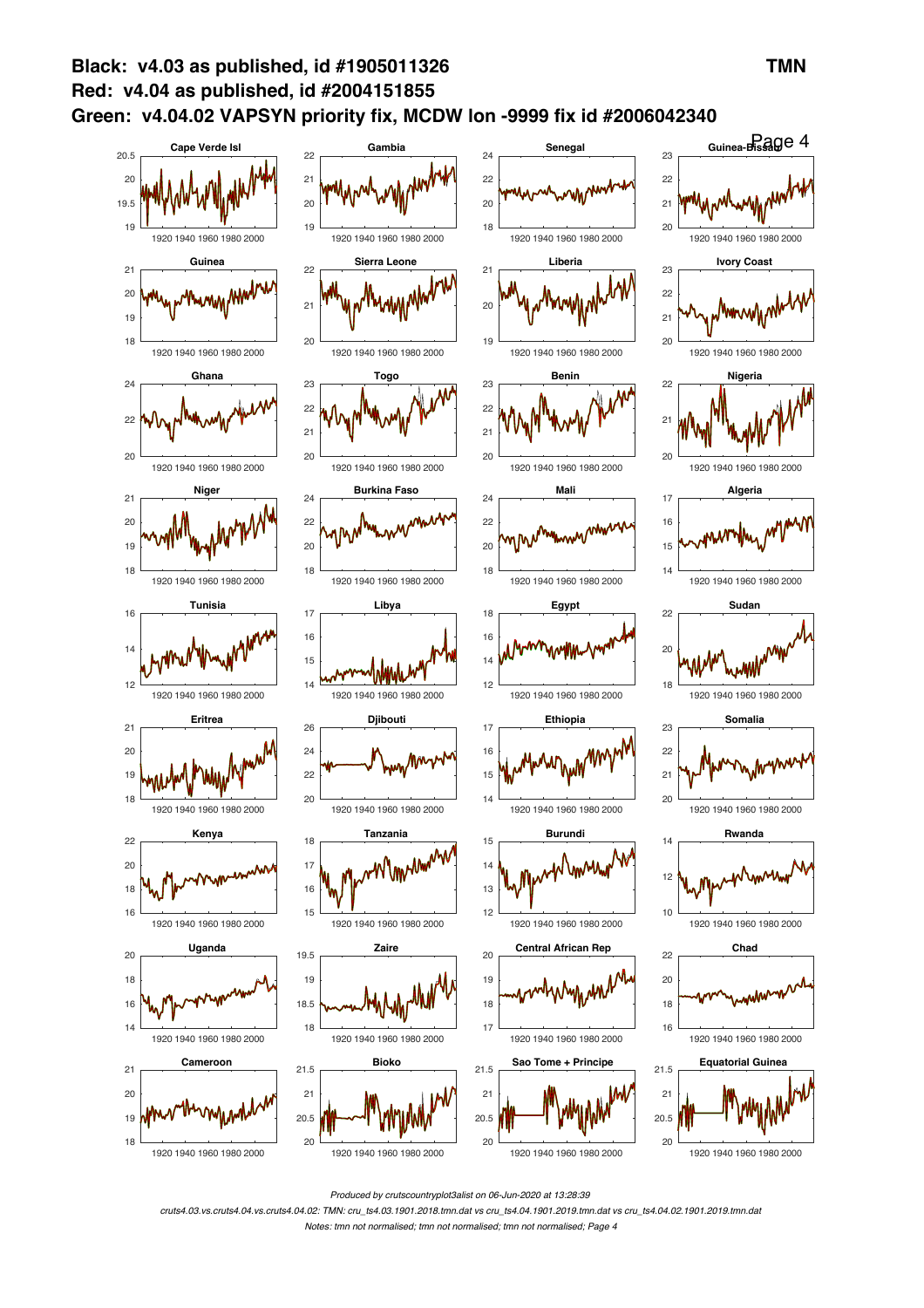

*Produced by crutscountryplot3alist on 06-Jun-2020 at 13:28:39*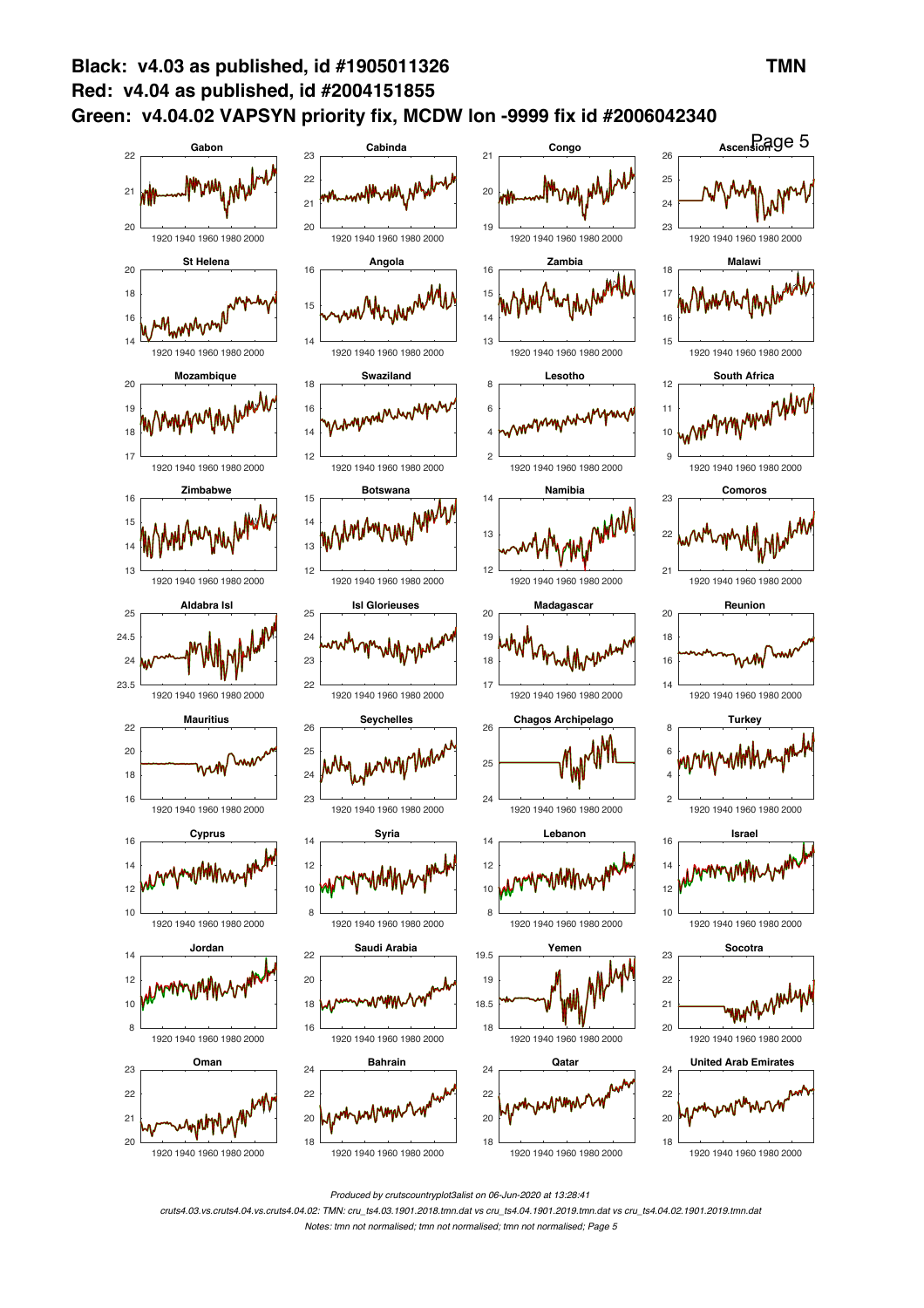

*Produced by crutscountryplot3alist on 06-Jun-2020 at 13:28:41*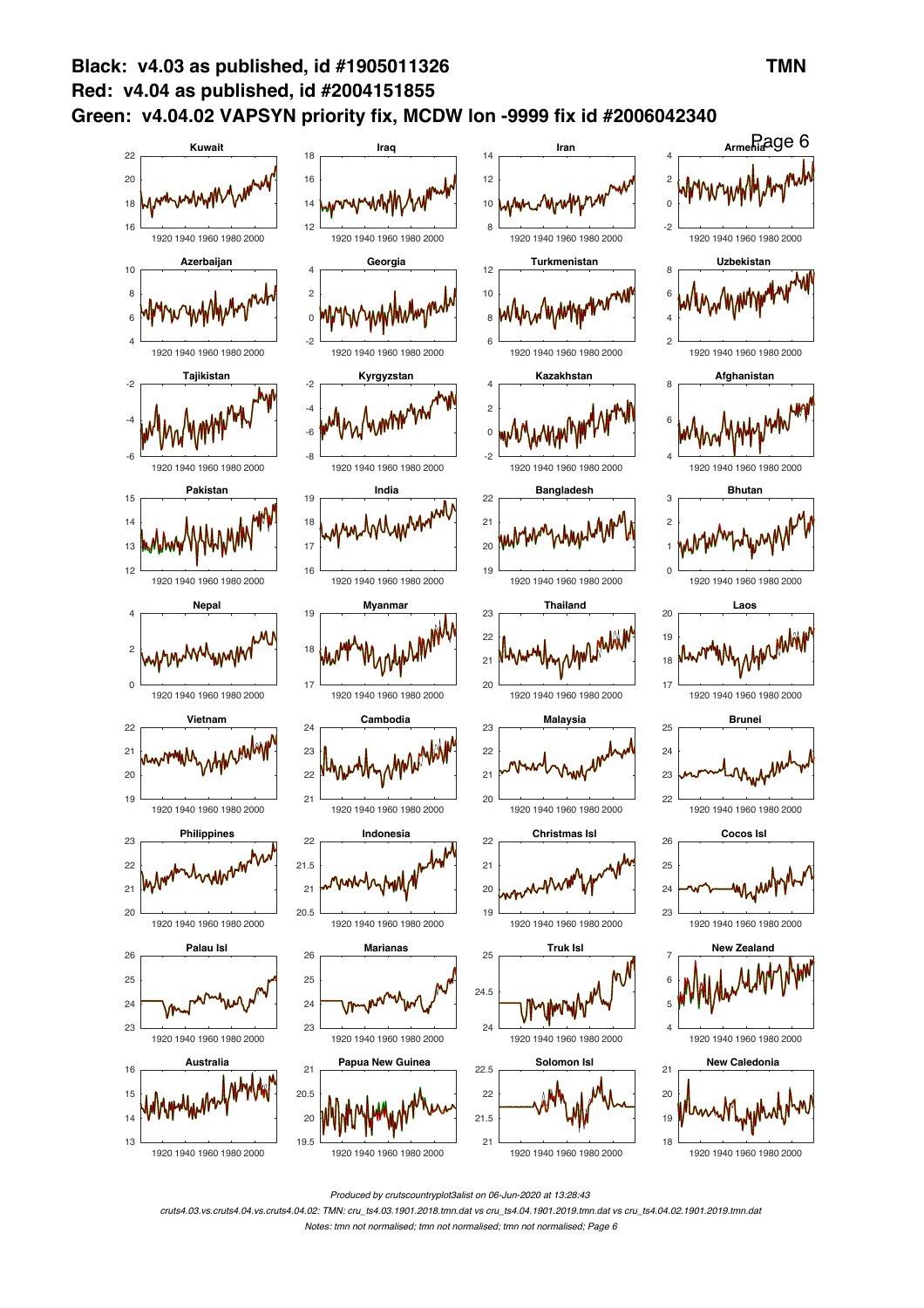

*Produced by crutscountryplot3alist on 06-Jun-2020 at 13:28:43*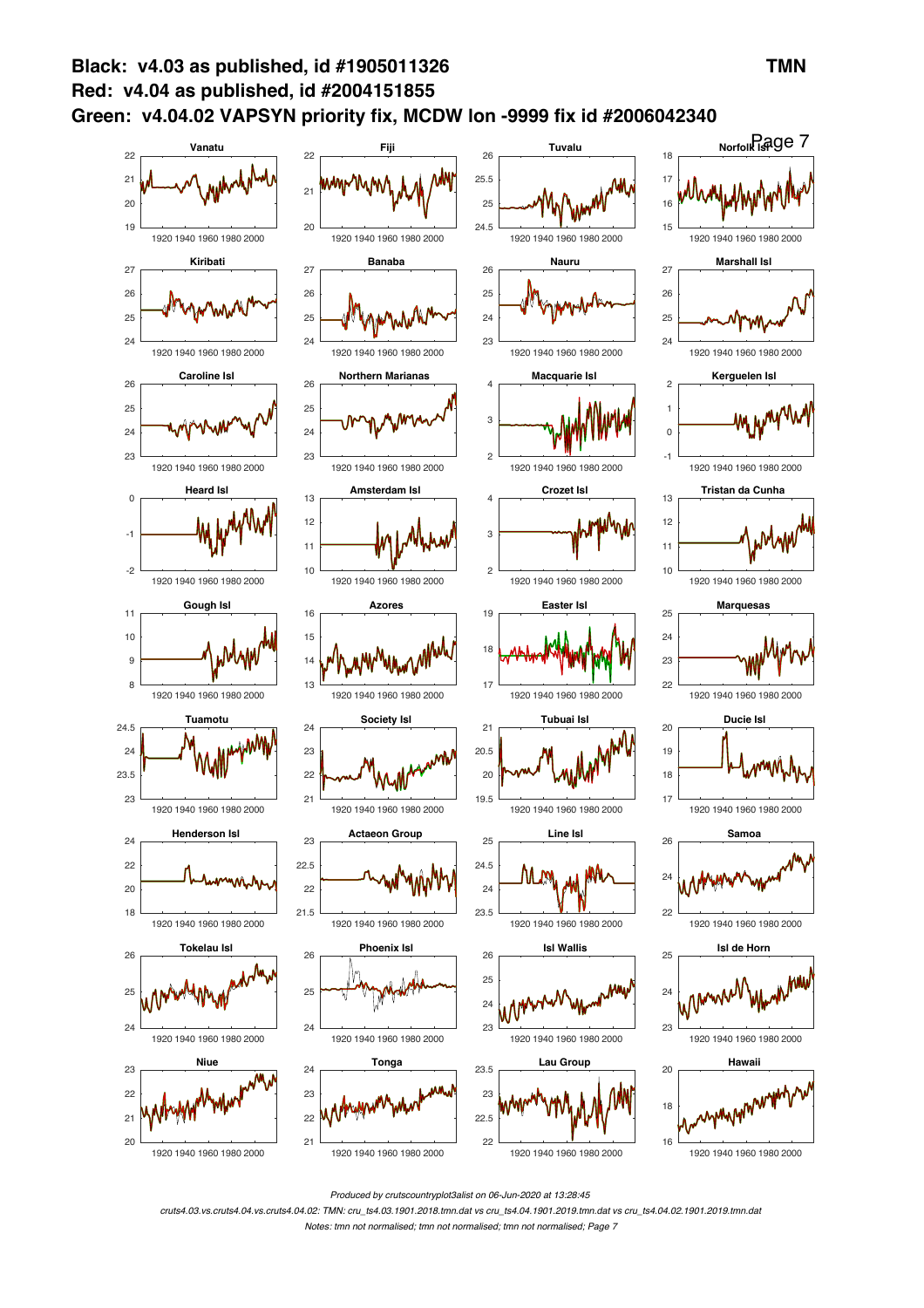

*Produced by crutscountryplot3alist on 06-Jun-2020 at 13:28:45*